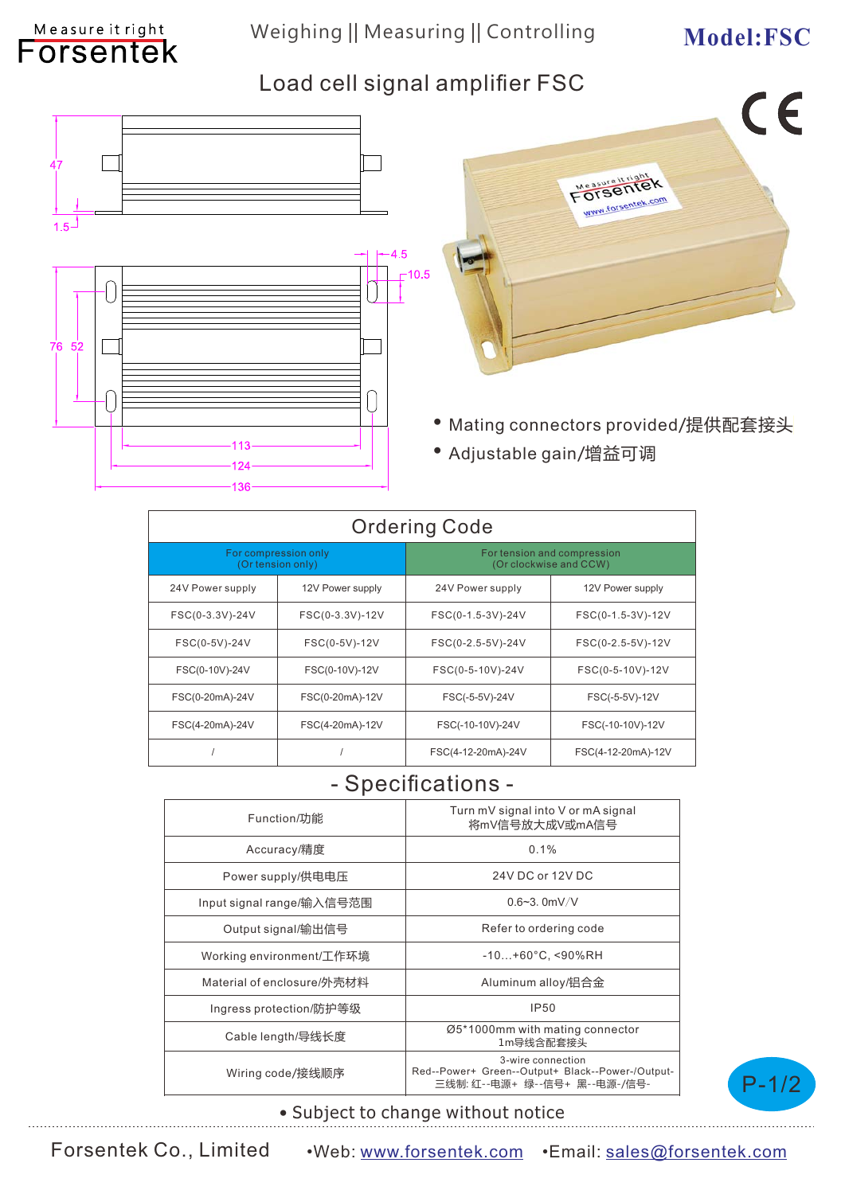## Weighing || Measuring || Controlling Model: FSC

Measure it right

## Load cell signal amplifier FSC



| <b>Ordering Code</b>                      |                  |                                                       |                    |
|-------------------------------------------|------------------|-------------------------------------------------------|--------------------|
| For compression only<br>(Or tension only) |                  | For tension and compression<br>(Or clockwise and CCW) |                    |
| 24V Power supply                          | 12V Power supply | 24V Power supply                                      | 12V Power supply   |
| FSC(0-3.3V)-24V                           | FSC(0-3.3V)-12V  | FSC(0-1.5-3V)-24V                                     | FSC(0-1.5-3V)-12V  |
| FSC(0-5V)-24V                             | FSC(0-5V)-12V    | FSC(0-2.5-5V)-24V                                     | FSC(0-2.5-5V)-12V  |
| FSC(0-10V)-24V                            | FSC(0-10V)-12V   | FSC(0-5-10V)-24V                                      | FSC(0-5-10V)-12V   |
| FSC(0-20mA)-24V                           | FSC(0-20mA)-12V  | FSC(-5-5V)-24V                                        | FSC(-5-5V)-12V     |
| FSC(4-20mA)-24V                           | FSC(4-20mA)-12V  | FSC(-10-10V)-24V                                      | FSC(-10-10V)-12V   |
|                                           |                  | FSC(4-12-20mA)-24V                                    | FSC(4-12-20mA)-12V |

### - Specifications -

| Function/功能                | Turn mV signal into V or mA signal<br>将mV信号放大成V或mA信号                                                   |  |
|----------------------------|--------------------------------------------------------------------------------------------------------|--|
| Accuracy/精度                | 0.1%                                                                                                   |  |
| Power supply/供电电压          | 24V DC or 12V DC                                                                                       |  |
| Input signal range/输入信号范围  | $0.6 - 3.0$ mV/V                                                                                       |  |
| Output signal/输出信号         | Refer to ordering code                                                                                 |  |
| Working environment/工作环境   | $-10+60^{\circ}$ C, <90%RH                                                                             |  |
| Material of enclosure/外壳材料 | Aluminum alloy/铝合金                                                                                     |  |
| Ingress protection/防护等级    | <b>IP50</b>                                                                                            |  |
| Cable length/导线长度          | Ø5*1000mm with mating connector<br>1m导线含配套接头                                                           |  |
| Wiring code/接线顺序           | 3-wire connection<br>Red--Power+ Green--Output+ Black--Power-/Output-<br>三线制: 红--电源+ 绿--信号+ 黑--电源-/信号- |  |



#### • Subject to change without notice